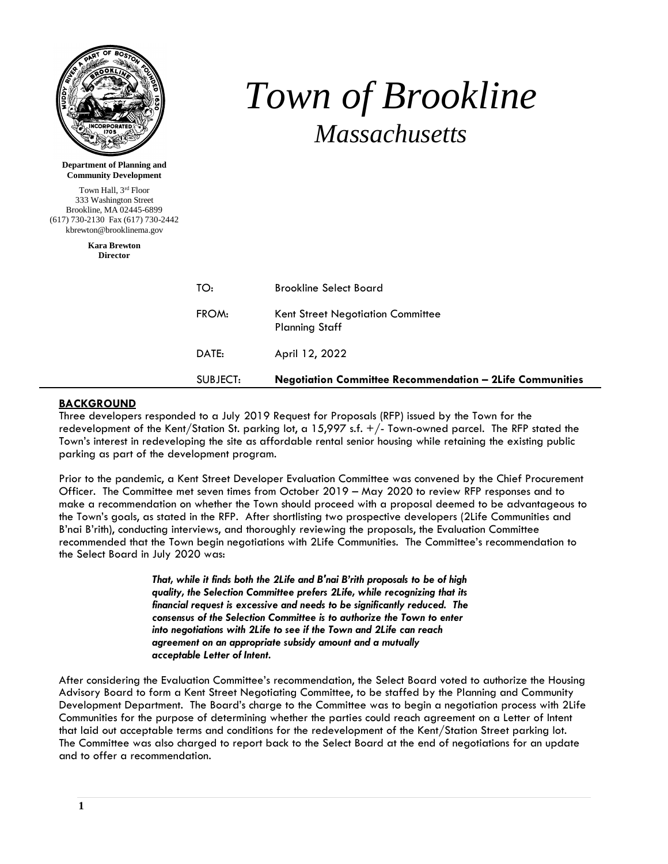| <b>NCORPORATED</b><br><b>Department of Planning and</b>                                                                                    |          | Town of Brookline<br><b>Massachusetts</b>                       |
|--------------------------------------------------------------------------------------------------------------------------------------------|----------|-----------------------------------------------------------------|
| <b>Community Development</b>                                                                                                               |          |                                                                 |
| Town Hall, 3rd Floor<br>333 Washington Street<br>Brookline, MA 02445-6899<br>(617) 730-2130 Fax (617) 730-2442<br>kbrewton@brooklinema.gov |          |                                                                 |
| <b>Kara Brewton</b><br><b>Director</b>                                                                                                     |          |                                                                 |
|                                                                                                                                            | TO:      | <b>Brookline Select Board</b>                                   |
|                                                                                                                                            | FROM:    | Kent Street Negotiation Committee<br><b>Planning Staff</b>      |
|                                                                                                                                            | DATE:    | April 12, 2022                                                  |
|                                                                                                                                            | SUBJECT: | <b>Negotiation Committee Recommendation - 2Life Communities</b> |

#### **BACKGROUND**

Three developers responded to a July 2019 Request for Proposals (RFP) issued by the Town for the redevelopment of the Kent/Station St. parking lot, a 15,997 s.f. +/- Town-owned parcel. The RFP stated the Town's interest in redeveloping the site as affordable rental senior housing while retaining the existing public parking as part of the development program.

Prior to the pandemic, a Kent Street Developer Evaluation Committee was convened by the Chief Procurement Officer. The Committee met seven times from October 2019 – May 2020 to review RFP responses and to make a recommendation on whether the Town should proceed with a proposal deemed to be advantageous to the Town's goals, as stated in the RFP. After shortlisting two prospective developers (2Life Communities and B'nai B'rith), conducting interviews, and thoroughly reviewing the proposals, the Evaluation Committee recommended that the Town begin negotiations with 2Life Communities. The Committee's recommendation to the Select Board in July 2020 was:

> *That, while it finds both the 2Life and B'nai B'rith proposals to be of high quality, the Selection Committee prefers 2Life, while recognizing that its financial request is excessive and needs to be significantly reduced. The consensus of the Selection Committee is to authorize the Town to enter into negotiations with 2Life to see if the Town and 2Life can reach agreement on an appropriate subsidy amount and a mutually acceptable Letter of Intent.*

After considering the Evaluation Committee's recommendation, the Select Board voted to authorize the Housing Advisory Board to form a Kent Street Negotiating Committee, to be staffed by the Planning and Community Development Department. The Board's charge to the Committee was to begin a negotiation process with 2Life Communities for the purpose of determining whether the parties could reach agreement on a Letter of Intent that laid out acceptable terms and conditions for the redevelopment of the Kent/Station Street parking lot. The Committee was also charged to report back to the Select Board at the end of negotiations for an update and to offer a recommendation.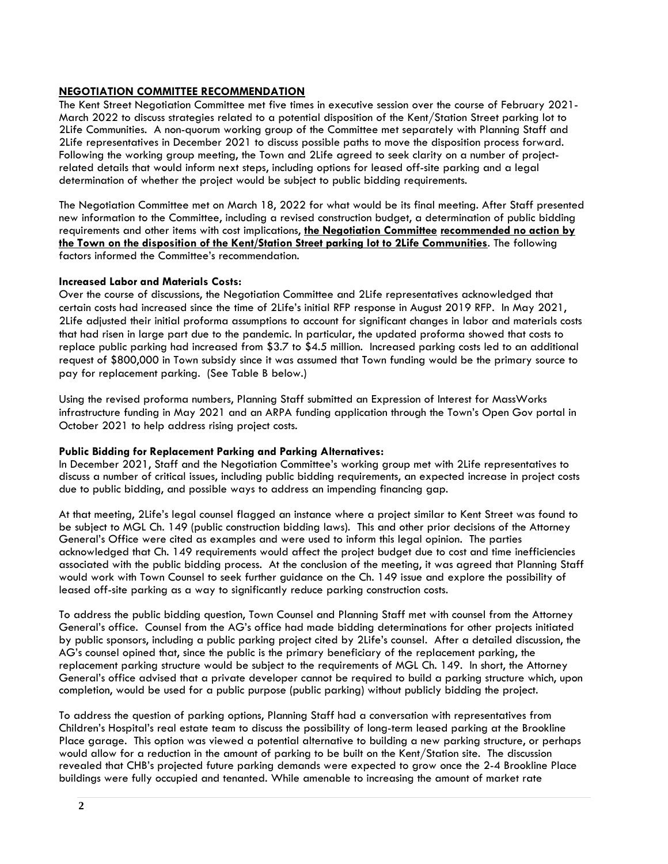# **NEGOTIATION COMMITTEE RECOMMENDATION**

The Kent Street Negotiation Committee met five times in executive session over the course of February 2021- March 2022 to discuss strategies related to a potential disposition of the Kent/Station Street parking lot to 2Life Communities. A non-quorum working group of the Committee met separately with Planning Staff and 2Life representatives in December 2021 to discuss possible paths to move the disposition process forward. Following the working group meeting, the Town and 2Life agreed to seek clarity on a number of projectrelated details that would inform next steps, including options for leased off-site parking and a legal determination of whether the project would be subject to public bidding requirements.

The Negotiation Committee met on March 18, 2022 for what would be its final meeting. After Staff presented new information to the Committee, including a revised construction budget, a determination of public bidding requirements and other items with cost implications, **the Negotiation Committee recommended no action by the Town on the disposition of the Kent/Station Street parking lot to 2Life Communities**. The following factors informed the Committee's recommendation.

# **Increased Labor and Materials Costs:**

Over the course of discussions, the Negotiation Committee and 2Life representatives acknowledged that certain costs had increased since the time of 2Life's initial RFP response in August 2019 RFP. In May 2021, 2Life adjusted their initial proforma assumptions to account for significant changes in labor and materials costs that had risen in large part due to the pandemic. In particular, the updated proforma showed that costs to replace public parking had increased from \$3.7 to \$4.5 million. Increased parking costs led to an additional request of \$800,000 in Town subsidy since it was assumed that Town funding would be the primary source to pay for replacement parking. (See Table B below.)

Using the revised proforma numbers, Planning Staff submitted an Expression of Interest for MassWorks infrastructure funding in May 2021 and an ARPA funding application through the Town's Open Gov portal in October 2021 to help address rising project costs.

#### **Public Bidding for Replacement Parking and Parking Alternatives:**

In December 2021, Staff and the Negotiation Committee's working group met with 2Life representatives to discuss a number of critical issues, including public bidding requirements, an expected increase in project costs due to public bidding, and possible ways to address an impending financing gap.

At that meeting, 2Life's legal counsel flagged an instance where a project similar to Kent Street was found to be subject to MGL Ch. 149 (public construction bidding laws). This and other prior decisions of the Attorney General's Office were cited as examples and were used to inform this legal opinion. The parties acknowledged that Ch. 149 requirements would affect the project budget due to cost and time inefficiencies associated with the public bidding process. At the conclusion of the meeting, it was agreed that Planning Staff would work with Town Counsel to seek further guidance on the Ch. 149 issue and explore the possibility of leased off-site parking as a way to significantly reduce parking construction costs.

To address the public bidding question, Town Counsel and Planning Staff met with counsel from the Attorney General's office. Counsel from the AG's office had made bidding determinations for other projects initiated by public sponsors, including a public parking project cited by 2Life's counsel. After a detailed discussion, the AG's counsel opined that, since the public is the primary beneficiary of the replacement parking, the replacement parking structure would be subject to the requirements of MGL Ch. 149. In short, the Attorney General's office advised that a private developer cannot be required to build a parking structure which, upon completion, would be used for a public purpose (public parking) without publicly bidding the project.

To address the question of parking options, Planning Staff had a conversation with representatives from Children's Hospital's real estate team to discuss the possibility of long-term leased parking at the Brookline Place garage. This option was viewed a potential alternative to building a new parking structure, or perhaps would allow for a reduction in the amount of parking to be built on the Kent/Station site. The discussion revealed that CHB's projected future parking demands were expected to grow once the 2-4 Brookline Place buildings were fully occupied and tenanted. While amenable to increasing the amount of market rate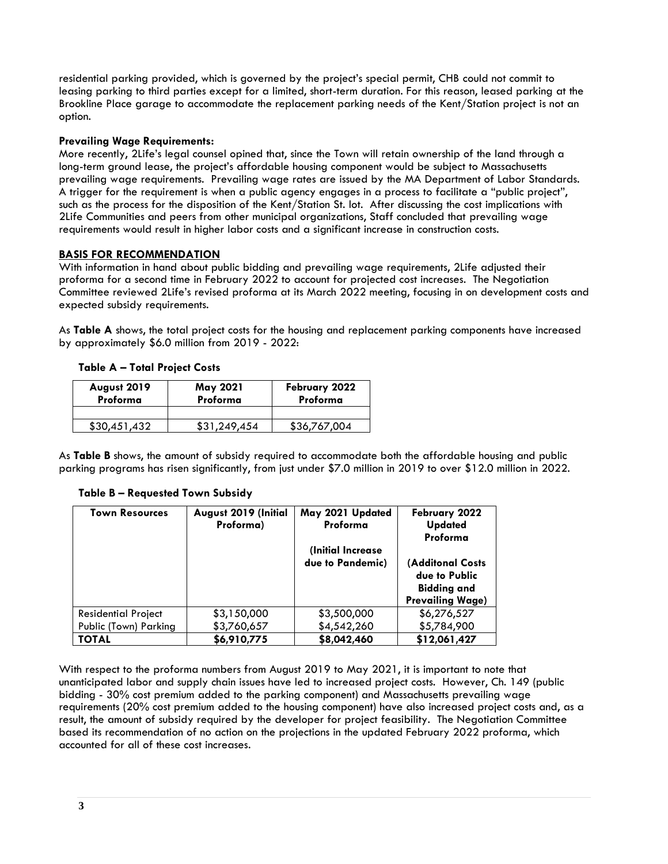residential parking provided, which is governed by the project's special permit, CHB could not commit to leasing parking to third parties except for a limited, short-term duration. For this reason, leased parking at the Brookline Place garage to accommodate the replacement parking needs of the Kent/Station project is not an option.

# **Prevailing Wage Requirements:**

More recently, 2Life's legal counsel opined that, since the Town will retain ownership of the land through a long-term ground lease, the project's affordable housing component would be subject to Massachusetts prevailing wage requirements. Prevailing wage rates are issued by the MA Department of Labor Standards. A trigger for the requirement is when a public agency engages in a process to facilitate a "public project", such as the process for the disposition of the Kent/Station St. lot. After discussing the cost implications with 2Life Communities and peers from other municipal organizations, Staff concluded that prevailing wage requirements would result in higher labor costs and a significant increase in construction costs.

# **BASIS FOR RECOMMENDATION**

With information in hand about public bidding and prevailing wage requirements, 2Life adjusted their proforma for a second time in February 2022 to account for projected cost increases. The Negotiation Committee reviewed 2Life's revised proforma at its March 2022 meeting, focusing in on development costs and expected subsidy requirements.

As **Table A** shows, the total project costs for the housing and replacement parking components have increased by approximately \$6.0 million from 2019 - 2022:

# **Table A – Total Project Costs**

| August 2019<br>Proforma | May 2021<br>Proforma | February 2022<br>Proforma |
|-------------------------|----------------------|---------------------------|
|                         |                      |                           |
| \$30.451.432            | \$31,249,454         | \$36,767,004              |

As **Table B** shows, the amount of subsidy required to accommodate both the affordable housing and public parking programs has risen significantly, from just under \$7.0 million in 2019 to over \$12.0 million in 2022.

#### **Town Resources August 2019 (Initial Proforma) May 2021 Updated Proforma (Initial Increase due to Pandemic) February 2022 Updated Proforma (Additonal Costs due to Public Bidding and Prevailing Wage)** Residential Project Public (Town) Parking \$3,150,000 \$3,760,657 \$3,500,000 \$4,542,260 \$6,276,527 \$5,784,900 **TOTAL \$6,910,775 \$8,042,460 \$12,061,427**

#### **Table B – Requested Town Subsidy**

With respect to the proforma numbers from August 2019 to May 2021, it is important to note that unanticipated labor and supply chain issues have led to increased project costs. However, Ch. 149 (public bidding - 30% cost premium added to the parking component) and Massachusetts prevailing wage requirements (20% cost premium added to the housing component) have also increased project costs and, as a result, the amount of subsidy required by the developer for project feasibility. The Negotiation Committee based its recommendation of no action on the projections in the updated February 2022 proforma, which accounted for all of these cost increases.